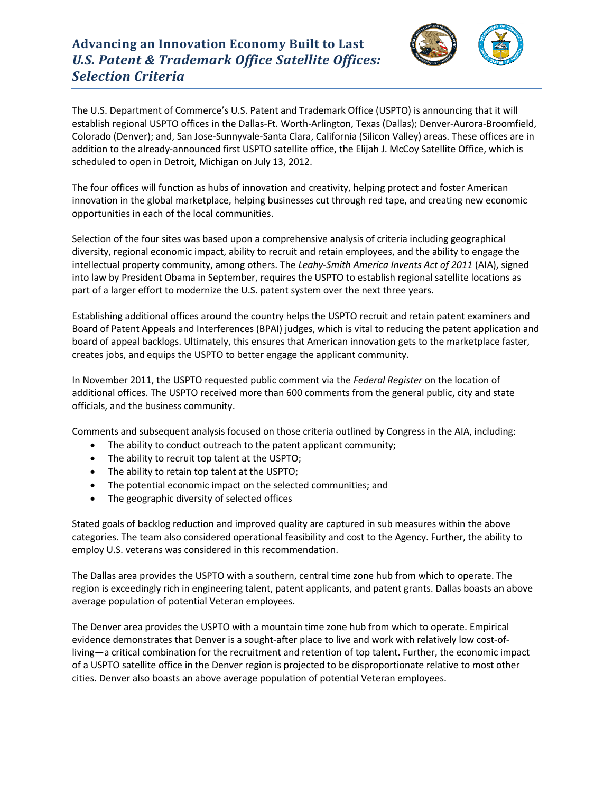## **Advancing an Innovation Economy Built to Last** *U.S. Patent & Trademark Office Satellite Offices: Selection Criteria*



The U.S. Department of Commerce's U.S. Patent and Trademark Office (USPTO) is announcing that it will establish regional USPTO offices in the Dallas-Ft. Worth-Arlington, Texas (Dallas); Denver-Aurora-Broomfield, Colorado (Denver); and, San Jose-Sunnyvale-Santa Clara, California (Silicon Valley) areas. These offices are in addition to the already-announced first USPTO satellite office, the Elijah J. McCoy Satellite Office, which is scheduled to open in Detroit, Michigan on July 13, 2012.

The four offices will function as hubs of innovation and creativity, helping protect and foster American innovation in the global marketplace, helping businesses cut through red tape, and creating new economic opportunities in each of the local communities.

Selection of the four sites was based upon a comprehensive analysis of criteria including geographical diversity, regional economic impact, ability to recruit and retain employees, and the ability to engage the intellectual property community, among others. The *Leahy-Smith America Invents Act of 2011* (AIA), signed into law by President Obama in September, requires the USPTO to establish regional satellite locations as part of a larger effort to modernize the U.S. patent system over the next three years.

Establishing additional offices around the country helps the USPTO recruit and retain patent examiners and Board of Patent Appeals and Interferences (BPAI) judges, which is vital to reducing the patent application and board of appeal backlogs. Ultimately, this ensures that American innovation gets to the marketplace faster, creates jobs, and equips the USPTO to better engage the applicant community.

In November 2011, the USPTO requested public comment via the *Federal Register* on the location of additional offices. The USPTO received more than 600 comments from the general public, city and state officials, and the business community.

Comments and subsequent analysis focused on those criteria outlined by Congress in the AIA, including:

- The ability to conduct outreach to the patent applicant community;
- The ability to recruit top talent at the USPTO;
- The ability to retain top talent at the USPTO;
- The potential economic impact on the selected communities; and
- The geographic diversity of selected offices

Stated goals of backlog reduction and improved quality are captured in sub measures within the above categories. The team also considered operational feasibility and cost to the Agency. Further, the ability to employ U.S. veterans was considered in this recommendation.

The Dallas area provides the USPTO with a southern, central time zone hub from which to operate. The region is exceedingly rich in engineering talent, patent applicants, and patent grants. Dallas boasts an above average population of potential Veteran employees.

The Denver area provides the USPTO with a mountain time zone hub from which to operate. Empirical evidence demonstrates that Denver is a sought-after place to live and work with relatively low cost-ofliving—a critical combination for the recruitment and retention of top talent. Further, the economic impact of a USPTO satellite office in the Denver region is projected to be disproportionate relative to most other cities. Denver also boasts an above average population of potential Veteran employees.